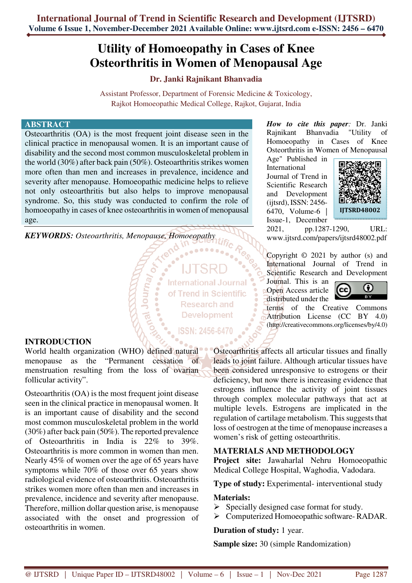# **Utility of Homoeopathy in Cases of Knee Osteorthritis in Women of Menopausal Age**

# **Dr. Janki Rajnikant Bhanvadia**

Assistant Professor, Department of Forensic Medicine & Toxicology, Rajkot Homoeopathic Medical College, Rajkot, Gujarat, India

#### **ABSTRACT**

Osteoarthritis (OA) is the most frequent joint disease seen in the clinical practice in menopausal women. It is an important cause of disability and the second most common musculoskeletal problem in the world (30%) after back pain (50%). Osteoarthritis strikes women more often than men and increases in prevalence, incidence and severity after menopause. Homoeopathic medicine helps to relieve not only osteoarthritis but also helps to improve menopausal syndrome. So, this study was conducted to confirm the role of homoeopathy in cases of knee osteoarthritis in women of menopausal age.

ر<sub>G</sub>nuot اھ

*KEYWORDS: Osteoarthritis, Menopause, Homoeopathy* 

**International Journal** of Trend in Scientific **Research and Development** 

ISSN: 2456-6470

**INTRODUCTION** 

World health organization (WHO) defined natural menopause as the "Permanent cessation of menstruation resulting from the loss of ovarian follicular activity".

Osteoarthritis (OA) is the most frequent joint disease seen in the clinical practice in menopausal women. It is an important cause of disability and the second most common musculoskeletal problem in the world (30%) after back pain (50%). The reported prevalence of Osteoarthritis in India is 22% to 39%. Osteoarthritis is more common in women than men. Nearly 45% of women over the age of 65 years have symptoms while 70% of those over 65 years show radiological evidence of osteoarthritis. Osteoarthritis strikes women more often than men and increases in prevalence, incidence and severity after menopause. Therefore, million dollar question arise, is menopause associated with the onset and progression of osteoarthritis in women.

*How to cite this paper:* Dr. Janki Rajnikant Bhanvadia "Utility of Homoeopathy in Cases of Knee Osteorthritis in Women of Menopausal

Age" Published in International Journal of Trend in Scientific Research and Development (ijtsrd), ISSN: 2456- 6470, Volume-6 | Issue-1, December



2021, pp.1287-1290, URL: www.ijtsrd.com/papers/ijtsrd48002.pdf

Copyright © 2021 by author (s) and International Journal of Trend in Scientific Research and Development

Journal. This is an Open Access article distributed under the



terms of the Creative Commons Attribution License (CC BY 4.0) (http://creativecommons.org/licenses/by/4.0)

Osteoarthritis affects all articular tissues and finally leads to joint failure. Although articular tissues have been considered unresponsive to estrogens or their deficiency, but now there is increasing evidence that estrogens influence the activity of joint tissues through complex molecular pathways that act at multiple levels. Estrogens are implicated in the regulation of cartilage metabolism. This suggests that loss of oestrogen at the time of menopause increases a women's risk of getting osteoarthritis.

# **MATERIALS AND METHODOLOGY**

**Project site:** Jawaharlal Nehru Homoeopathic Medical College Hospital, Waghodia, Vadodara.

**Type of study:** Experimental- interventional study

## **Materials:**

- $\triangleright$  Specially designed case format for study.
- Computerized Homoeopathic software- RADAR.

## **Duration of study:** 1 year.

**Sample size:** 30 (simple Randomization)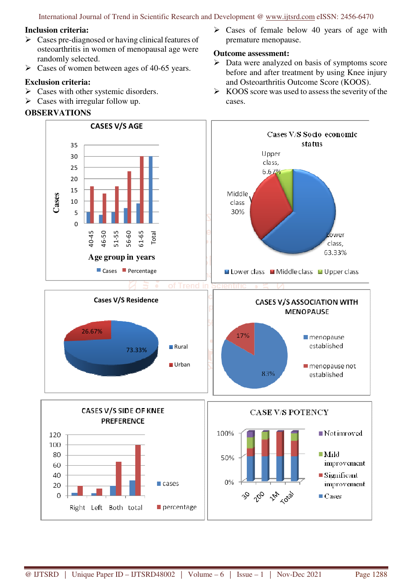International Journal of Trend in Scientific Research and Development @ www.ijtsrd.com eISSN: 2456-6470

#### **Inclusion criteria:**

- $\triangleright$  Cases pre-diagnosed or having clinical features of osteoarthritis in women of menopausal age were randomly selected.
- $\triangleright$  Cases of women between ages of 40-65 years.

## **Exclusion criteria:**

- $\triangleright$  Cases with other systemic disorders.
- $\triangleright$  Cases with irregular follow up.

# **OBSERVATIONS**

 $\triangleright$  Cases of female below 40 years of age with premature menopause.

# **Outcome assessment:**

- $\triangleright$  Data were analyzed on basis of symptoms score before and after treatment by using Knee injury and Osteoarthritis Outcome Score (KOOS).
- $\triangleright$  KOOS score was used to assess the severity of the cases.

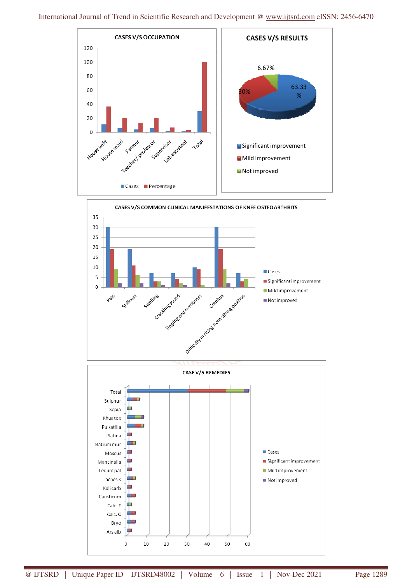